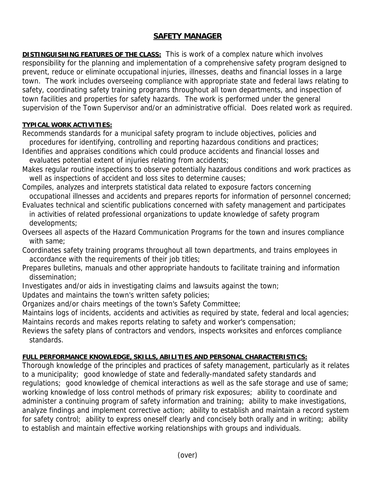## **SAFETY MANAGER**

**DISTINGUISHING FEATURES OF THE CLASS:** This is work of a complex nature which involves responsibility for the planning and implementation of a comprehensive safety program designed to prevent, reduce or eliminate occupational injuries, illnesses, deaths and financial losses in a large town. The work includes overseeing compliance with appropriate state and federal laws relating to safety, coordinating safety training programs throughout all town departments, and inspection of town facilities and properties for safety hazards. The work is performed under the general supervision of the Town Supervisor and/or an administrative official. Does related work as required.

## **TYPICAL WORK ACTIVITIES:**

Recommends standards for a municipal safety program to include objectives, policies and procedures for identifying, controlling and reporting hazardous conditions and practices;

- Identifies and appraises conditions which could produce accidents and financial losses and evaluates potential extent of injuries relating from accidents;
- Makes regular routine inspections to observe potentially hazardous conditions and work practices as well as inspections of accident and loss sites to determine causes;
- Compiles, analyzes and interprets statistical data related to exposure factors concerning occupational illnesses and accidents and prepares reports for information of personnel concerned;
- Evaluates technical and scientific publications concerned with safety management and participates in activities of related professional organizations to update knowledge of safety program developments;
- Oversees all aspects of the Hazard Communication Programs for the town and insures compliance with same;
- Coordinates safety training programs throughout all town departments, and trains employees in accordance with the requirements of their job titles;
- Prepares bulletins, manuals and other appropriate handouts to facilitate training and information dissemination;
- Investigates and/or aids in investigating claims and lawsuits against the town;
- Updates and maintains the town's written safety policies;

Organizes and/or chairs meetings of the town's Safety Committee;

Maintains logs of incidents, accidents and activities as required by state, federal and local agencies; Maintains records and makes reports relating to safety and worker's compensation;

Reviews the safety plans of contractors and vendors, inspects worksites and enforces compliance standards.

## **FULL PERFORMANCE KNOWLEDGE, SKILLS, ABILITIES AND PERSONAL CHARACTERISTICS:**

Thorough knowledge of the principles and practices of safety management, particularly as it relates to a municipality; good knowledge of state and federally-mandated safety standards and regulations; good knowledge of chemical interactions as well as the safe storage and use of same; working knowledge of loss control methods of primary risk exposures; ability to coordinate and administer a continuing program of safety information and training; ability to make investigations, analyze findings and implement corrective action; ability to establish and maintain a record system for safety control; ability to express oneself clearly and concisely both orally and in writing; ability to establish and maintain effective working relationships with groups and individuals.